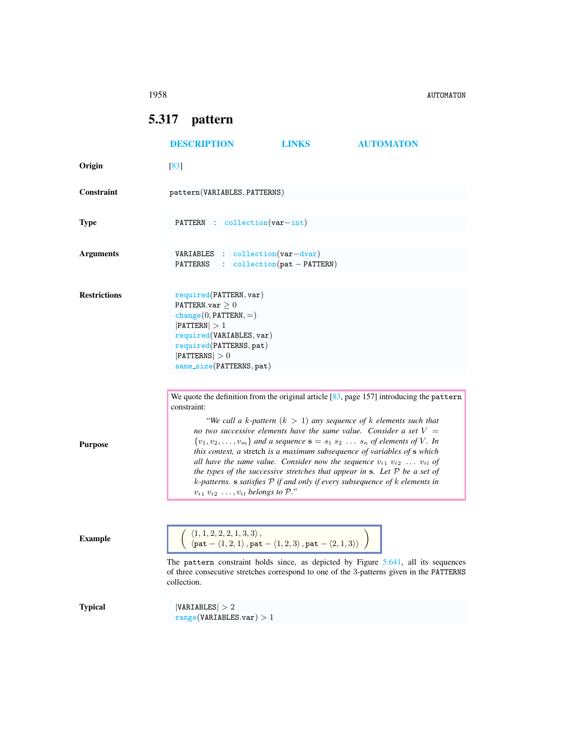1958 AUTOMATON

## <span id="page-0-0"></span>5.317 pattern

|                     | <b>DESCRIPTION</b>                                                                                                                                                                                                                                                                                                                                                                                                                                                                                                                                                                                                                                                                      | <b>LINKS</b>                                     | <b>AUTOMATON</b>                                                    |
|---------------------|-----------------------------------------------------------------------------------------------------------------------------------------------------------------------------------------------------------------------------------------------------------------------------------------------------------------------------------------------------------------------------------------------------------------------------------------------------------------------------------------------------------------------------------------------------------------------------------------------------------------------------------------------------------------------------------------|--------------------------------------------------|---------------------------------------------------------------------|
| Origin              | [83]                                                                                                                                                                                                                                                                                                                                                                                                                                                                                                                                                                                                                                                                                    |                                                  |                                                                     |
| Constraint          | pattern(VARIABLES, PATTERNS)                                                                                                                                                                                                                                                                                                                                                                                                                                                                                                                                                                                                                                                            |                                                  |                                                                     |
| <b>Type</b>         | PATTERN : collection(var-int)                                                                                                                                                                                                                                                                                                                                                                                                                                                                                                                                                                                                                                                           |                                                  |                                                                     |
| <b>Arguments</b>    | <b>VARIABLES</b> : collection $(var-dvar)$<br>PATTERNS                                                                                                                                                                                                                                                                                                                                                                                                                                                                                                                                                                                                                                  | $\text{collection}(\text{pat} - \text{PATTERN})$ |                                                                     |
| <b>Restrictions</b> | required(PATTERN, var)<br>PATTERN.var $\geq 0$<br>$change(0, PATTERN, =)$<br>$ $ PATTERN $ >1$<br>required(VARIABLES, var)<br>required(PATTERNS, pat)<br>$ $ PATTERNS $ >0$<br>same_size(PATTERNS, pat)                                                                                                                                                                                                                                                                                                                                                                                                                                                                                 |                                                  |                                                                     |
| <b>Purpose</b>      | We quote the definition from the original article $[83, \text{page 157}]$ introducing the pattern<br>constraint:<br>no two successive elements have the same value. Consider a set $V =$<br>$\{v_1, v_2, \ldots, v_m\}$ and a sequence $\mathbf{s} = s_1 s_2 \ldots s_n$ of elements of V. In<br>this context, a stretch is a maximum subsequence of variables of s which<br>all have the same value. Consider now the sequence $v_{i1}$ $v_{i2}$ $v_{i1}$ of<br>the types of the successive stretches that appear in $s$ . Let $P$ be a set of<br>$k$ -patterns. s satisfies $P$ if and only if every subsequence of $k$ elements in<br>$v_{i1}$ $v_{i2}$ , $v_{i1}$ belongs to $P$ ." |                                                  | "We call a k-pattern $(k > 1)$ any sequence of k elements such that |
| <b>Example</b>      | $\begin{array}{l} \left\langle 1,1,2,2,2,1,3,3\right\rangle ,\\ \left\langle \mathsf{pat}-\left\langle 1,2,1\right\rangle ,\mathsf{pat}-\left\langle 1,2,3\right\rangle ,\mathsf{pat}-\left\langle 2,1,3\right\rangle \right\rangle \end{array}$<br>The pattern constraint holds since, as depicted by Figure $5.641$ , all its sequences<br>of three consecutive stretches correspond to one of the 3-patterns given in the PATTERNS<br>collection.                                                                                                                                                                                                                                    |                                                  |                                                                     |
| <b>Typical</b>      | VARIABLES  > 2<br>range(VARIABLES.var) > 1                                                                                                                                                                                                                                                                                                                                                                                                                                                                                                                                                                                                                                              |                                                  |                                                                     |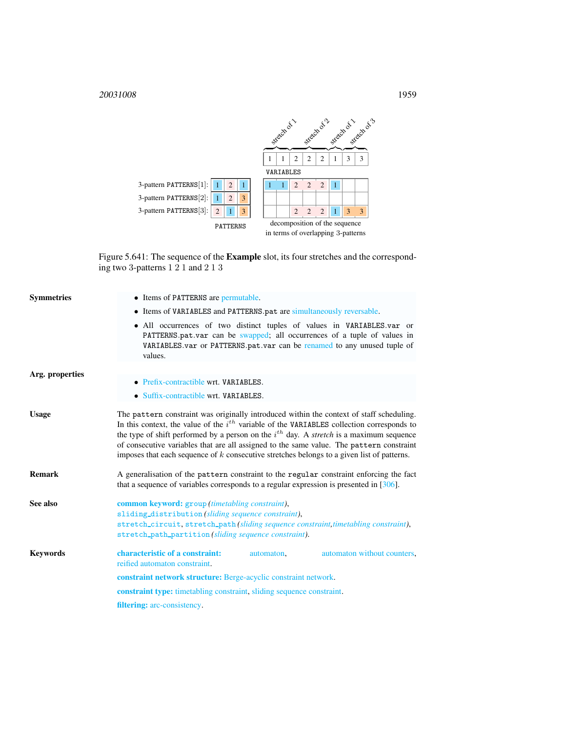<sup>20031008</sup> 1959



<span id="page-1-1"></span>Figure 5.641: The sequence of the Example slot, its four stretches and the corresponding two 3-patterns 1 2 1 and 2 1 3

<span id="page-1-0"></span>

| <b>Symmetries</b> | • Items of PATTERNS are permutable.                                                                                                                                                                                                                                                                                                                                                                                                                                                           |  |  |  |
|-------------------|-----------------------------------------------------------------------------------------------------------------------------------------------------------------------------------------------------------------------------------------------------------------------------------------------------------------------------------------------------------------------------------------------------------------------------------------------------------------------------------------------|--|--|--|
|                   | • Items of VARIABLES and PATTERNS.pat are simultaneously reversable.                                                                                                                                                                                                                                                                                                                                                                                                                          |  |  |  |
|                   | • All occurrences of two distinct tuples of values in VARIABLES.var or<br>PATTERNS.pat.var can be swapped; all occurrences of a tuple of values in<br>VARIABLES.var or PATTERNS.pat.var can be renamed to any unused tuple of<br>values.                                                                                                                                                                                                                                                      |  |  |  |
| Arg. properties   |                                                                                                                                                                                                                                                                                                                                                                                                                                                                                               |  |  |  |
|                   | • Prefix-contractible wrt. VARIABLES.                                                                                                                                                                                                                                                                                                                                                                                                                                                         |  |  |  |
|                   | • Suffix-contractible wrt. VARIABLES.                                                                                                                                                                                                                                                                                                                                                                                                                                                         |  |  |  |
| <b>Usage</b>      | The pattern constraint was originally introduced within the context of staff scheduling.<br>In this context, the value of the $i^{th}$ variable of the VARIABLES collection corresponds to<br>the type of shift performed by a person on the $i^{th}$ day. A <i>stretch</i> is a maximum sequence<br>of consecutive variables that are all assigned to the same value. The pattern constraint<br>imposes that each sequence of $k$ consecutive stretches belongs to a given list of patterns. |  |  |  |
| <b>Remark</b>     | A generalisation of the pattern constraint to the regular constraint enforcing the fact<br>that a sequence of variables corresponds to a regular expression is presented in $[306]$ .                                                                                                                                                                                                                                                                                                         |  |  |  |
| See also          | common keyword: group (timetabling constraint),<br>sliding_distribution(sliding sequence constraint),<br>stretch_circuit, stretch_path (sliding sequence constraint, timetabling constraint),<br>stretch_path_partition(sliding sequence constraint).                                                                                                                                                                                                                                         |  |  |  |
| <b>Keywords</b>   | characteristic of a constraint:<br>automaton without counters,<br>automaton,                                                                                                                                                                                                                                                                                                                                                                                                                  |  |  |  |
|                   | reified automaton constraint.                                                                                                                                                                                                                                                                                                                                                                                                                                                                 |  |  |  |
|                   | constraint network structure: Berge-acyclic constraint network.                                                                                                                                                                                                                                                                                                                                                                                                                               |  |  |  |
|                   | <b>constraint type:</b> timetabling constraint, sliding sequence constraint.                                                                                                                                                                                                                                                                                                                                                                                                                  |  |  |  |